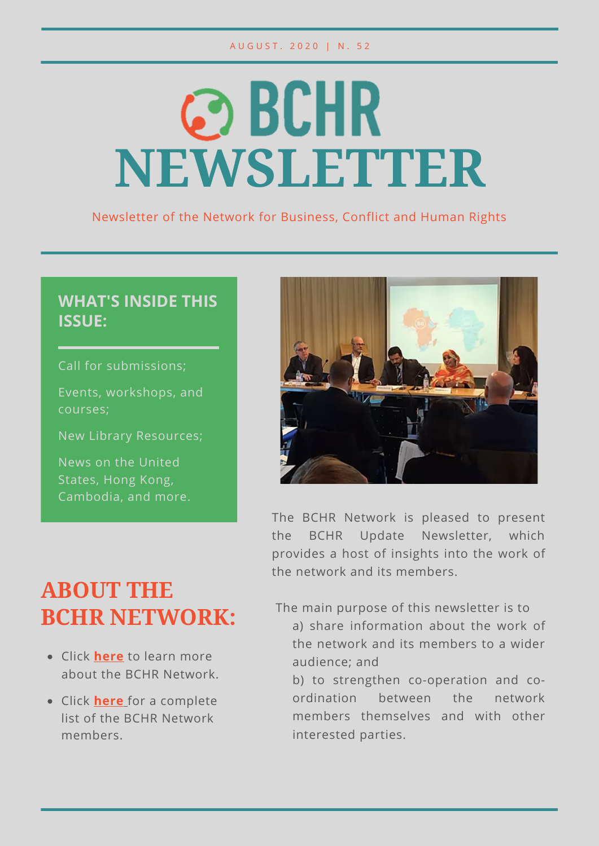#### A U G U S T . 2 0 2 0 | N . 5 2

# **@BCHR NEWSLETTER**

Newsletter of the Network for Business, Conflict and Human Rights

#### **WHAT'S INSIDE THIS ISSUE:**

Call for submissions;

Events, workshops, and courses;

New Library Resources;

News on the United States, Hong Kong, Cambodia, and more.



The BCHR Network is pleased to present the BCHR Update Newsletter, which provides a host of insights into the work of the network and its members.

# **ABOUT THE BCHR NETWORK:**

- Click **here** to learn more about the BCHR Network.
- Click **here** for a complete list of the BCHR Network members.

The main purpose of this newsletter is to

- a) share information about the work of the network and its members to a wider audience; and
- b) to strengthen co-operation and coordination between the network members themselves and with other interested parties.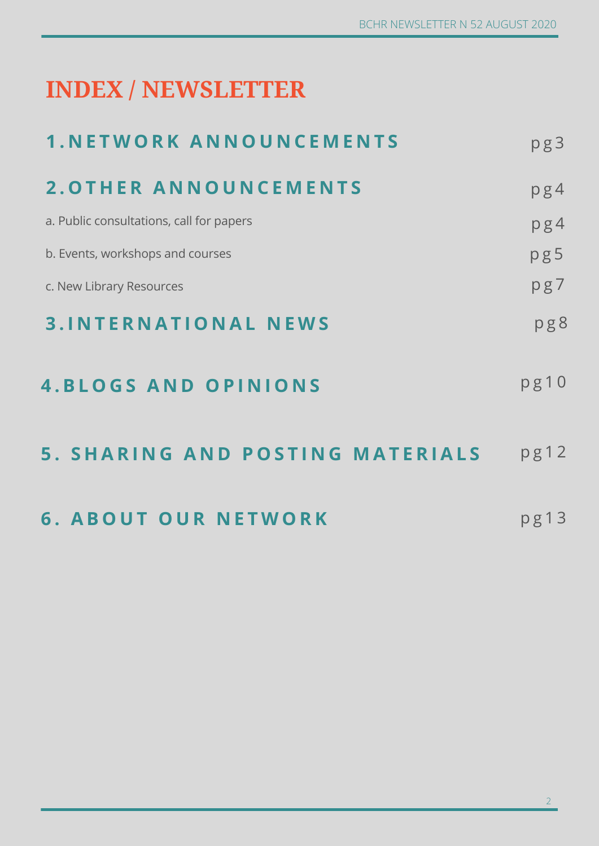# **INDEX / NEWSLETTER**

| <b>1. NETWORK ANNOUNCEMENTS</b>          | pg3  |
|------------------------------------------|------|
| <b>2. OTHER ANNOUNCEMENTS</b>            | pg4  |
| a. Public consultations, call for papers | pg4  |
| b. Events, workshops and courses         | pg5  |
| c. New Library Resources                 | pg7  |
| <b>3. INTERNATIONAL NEWS</b>             | pg8  |
| <b>4.BLOGS AND OPINIONS</b>              | pg10 |
| 5. SHARING AND POSTING MATERIALS         | pg12 |
| <b>6. ABOUT OUR NETWORK</b>              | pg13 |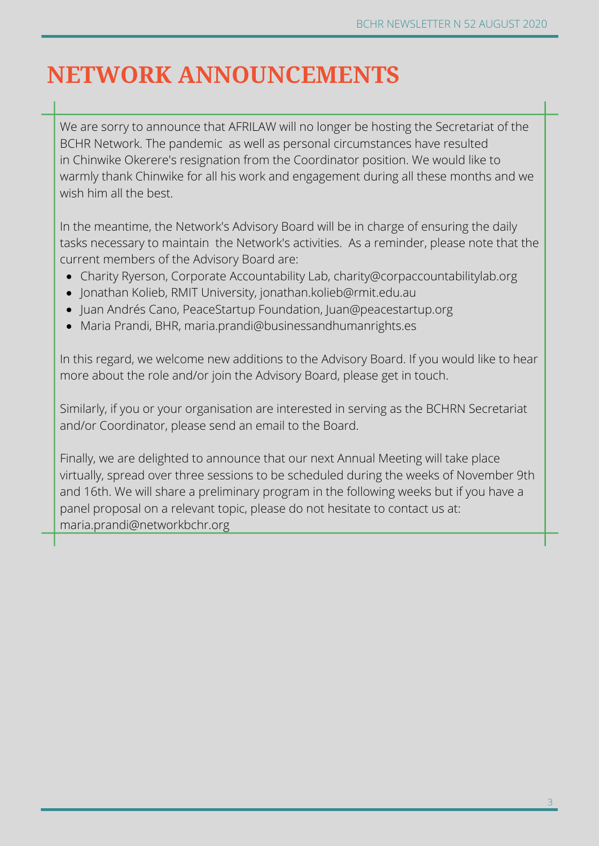# **NETWORK ANNOUNCEMENTS**

We are sorry to announce that AFRILAW will no longer be hosting the Secretariat of the BCHR Network. The pandemic as well as personal circumstances have resulted in Chinwike Okerere's resignation from the Coordinator position. We would like to warmly thank Chinwike for all his work and engagement during all these months and we wish him all the best.

In the meantime, the Network's Advisory Board will be in charge of ensuring the daily tasks necessary to maintain the Network's activities. As a reminder, please note that the current members of the Advisory Board are:

- Charity Ryerson, Corporate Accountability Lab, charity@corpaccountabilitylab.org
- Jonathan Kolieb, RMIT University, jonathan.kolieb@rmit.edu.au
- Juan Andrés Cano, PeaceStartup Foundation, Juan@peacestartup.org
- Maria Prandi, BHR, maria.prandi@businessandhumanrights.es

In this regard, we welcome new additions to the Advisory Board. If you would like to hear more about the role and/or join the Advisory Board, please get in touch.

Similarly, if you or your organisation are interested in serving as the BCHRN Secretariat and/or Coordinator, please send an email to the Board.

Finally, we are delighted to announce that our next Annual Meeting will take place virtually, spread over three sessions to be scheduled during the weeks of November 9th and 16th. We will share a preliminary program in the following weeks but if you have a panel proposal on a relevant topic, please do not hesitate to contact us at: maria.prandi@networkbchr.org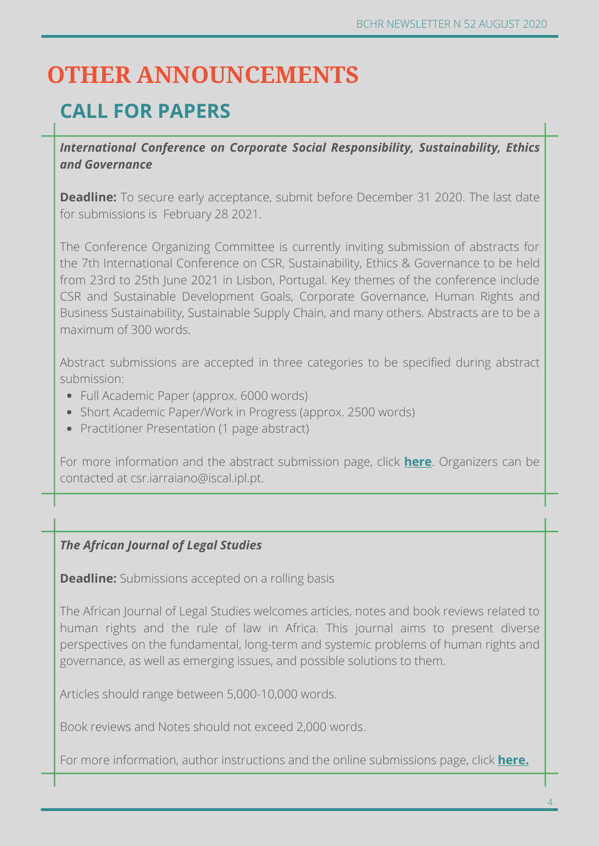# **OTHER ANNOUNCEMENTS**

# **CALL FOR PAPERS**

*International Conference on Corporate Social Responsibility, Sustainability, Ethics and Governance*

**Deadline:** To secure early acceptance, submit before December 31 2020. The last date for submissions is February 28 2021.

The Conference Organizing Committee is currently inviting submission of abstracts for the 7th International Conference on CSR, Sustainability, Ethics & Governance to be held from 23rd to 25th June 2021 in Lisbon, Portugal. Key themes of the conference include CSR and Sustainable Development Goals, Corporate Governance, Human Rights and Business Sustainability, Sustainable Supply Chain, and many others. Abstracts are to be a maximum of 300 words.

Abstract submissions are accepted in three categories to be specified during abstract submission:

- Full Academic Paper (approx. 6000 words)
- Short Academic Paper/Work in Progress (approx. 2500 words)
- Practitioner Presentation (1 page abstract)

For more information and the abstract submission page, click **here**. Organizers can be contacted at csr.iarraiano@iscal.ipl.pt.

#### *The African Journal of Legal Studies*

**Deadline:** Submissions accepted on a rolling basis

The African Journal of Legal Studies welcomes articles, notes and book reviews related to human rights and the rule of law in Africa. This journal aims to present diverse perspectives on the fundamental, long-term and systemic problems of human rights and governance, as well as emerging issues, and possible solutions to them.

Articles should range between 5,000-10,000 words.

Book reviews and Notes should not exceed 2,000 words.

For more information, author instructions and the online submissions page, click **here.**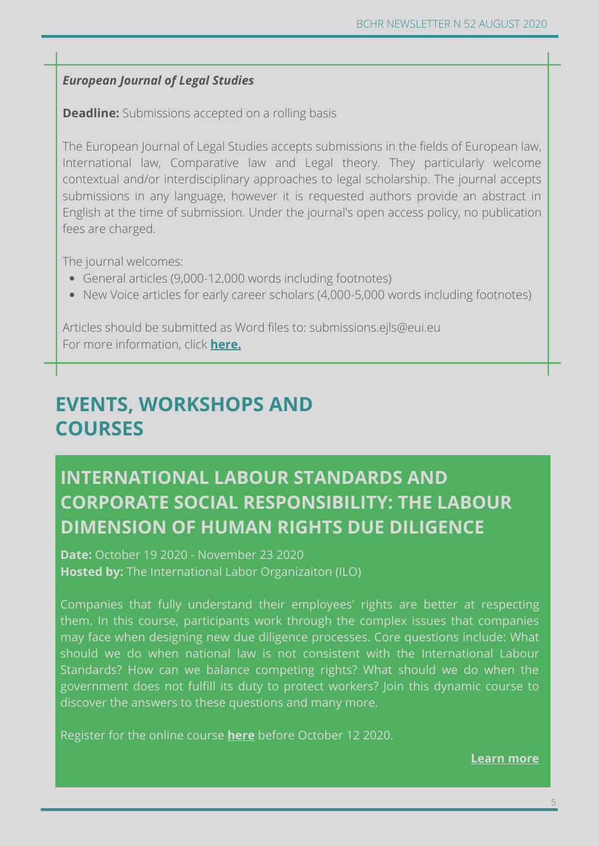#### *European Journal of Legal Studies*

**Deadline:** Submissions accepted on a rolling basis

The European Journal of Legal Studies accepts submissions in the fields of European law, International law, Comparative law and Legal theory. They particularly welcome contextual and/or interdisciplinary approaches to legal scholarship. The journal accepts submissions in any language, however it is requested authors provide an abstract in English at the time of submission. Under the journal's open access policy, no publication fees are charged.

The journal welcomes:

- General articles (9,000-12,000 words including footnotes)
- New Voice articles for early career scholars (4,000-5,000 words including footnotes)

Articles should be submitted as Word files to: submissions.ejls@eui.eu For more information, click **here.**

## **EVENTS, WORKSHOPS AND COURSES**

# **INTERNATIONAL LABOUR STANDARDS AND CORPORATE SOCIAL RESPONSIBILITY: THE LABOUR DIMENSION OF HUMAN RIGHTS DUE DILIGENCE**

**Date:** October 19 2020 - November 23 2020 **Hosted by:** The International Labor Organizaiton (ILO)

Companies that fully understand their employees' rights are better at respecting them. In this course, participants work through the complex issues that companies may face when designing new due diligence processes. Core questions include: What should we do when national law is not consistent with the International Labour Standards? How can we balance competing rights? What should we do when the government does not fulfill its duty to protect workers? Join this dynamic course to discover the answers to these questions and many more.

Register for the online course **here** before October 12 2020.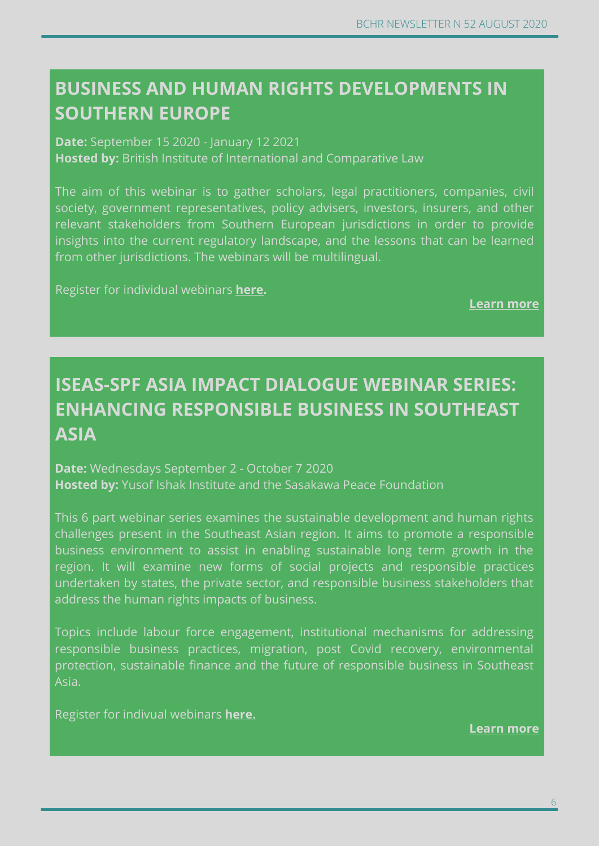## **BUSINESS AND HUMAN RIGHTS DEVELOPMENTS IN SOUTHERN EUROPE**

**Date:** September 15 2020 - January 12 2021

**Hosted by:** British Institute of International and Comparative Law

The aim of this webinar is to gather scholars, legal practitioners, companies, civil society, government representatives, policy advisers, investors, insurers, and other relevant stakeholders from Southern European jurisdictions in order to provide insights into the current regulatory landscape, and the lessons that can be learned from other jurisdictions. The webinars will be multilingual.

Register for individual webinars **here.**

**Learn more**

# **ISEAS-SPF ASIA IMPACT DIALOGUE WEBINAR SERIES: ENHANCING RESPONSIBLE BUSINESS IN SOUTHEAST ASIA**

**Date:** Wednesdays September 2 - October 7 2020 **Hosted by:** Yusof Ishak Institute and the Sasakawa Peace Foundation

This 6 part webinar series examines the sustainable development and human rights challenges present in the Southeast Asian region. It aims to promote a responsible business environment to assist in enabling sustainable long term growth in the region. It will examine new forms of social projects and responsible practices undertaken by states, the private sector, and responsible business stakeholders that address the human rights impacts of business.

Topics include labour force engagement, institutional mechanisms for addressing responsible business practices, migration, post Covid recovery, environmental protection, sustainable finance and the future of responsible business in Southeast Asia.

Register for indivual webinars **here.**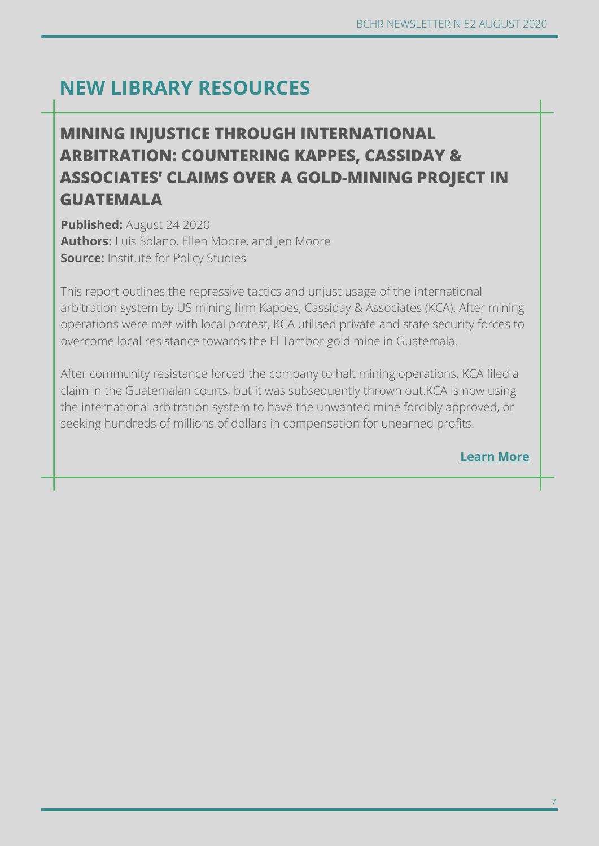# **NEW LIBRARY RESOURCES**

#### **Learn more MINING INJUSTICE THROUGH INTERNATIONAL ARBITRATION: COUNTERING KAPPES, CASSIDAY & ASSOCIATES' CLAIMS OVER A GOLD-MINING PROJECT IN GUATEMALA**

**Published:** August 24 2020 **Authors:** Luis Solano, Ellen Moore, and Jen Moore **Source:** Institute for Policy Studies

This report outlines the repressive tactics and unjust usage of the international arbitration system by US mining firm Kappes, Cassiday & Associates (KCA). After mining operations were met with local protest, KCA utilised private and state security forces to overcome local resistance towards the El Tambor gold mine in Guatemala.

After community resistance forced the company to halt mining operations, KCA filed a claim in the Guatemalan courts, but it was subsequently thrown out.KCA is now using the international arbitration system to have the unwanted mine forcibly approved, or seeking hundreds of millions of dollars in compensation for unearned profits.

**Learn More**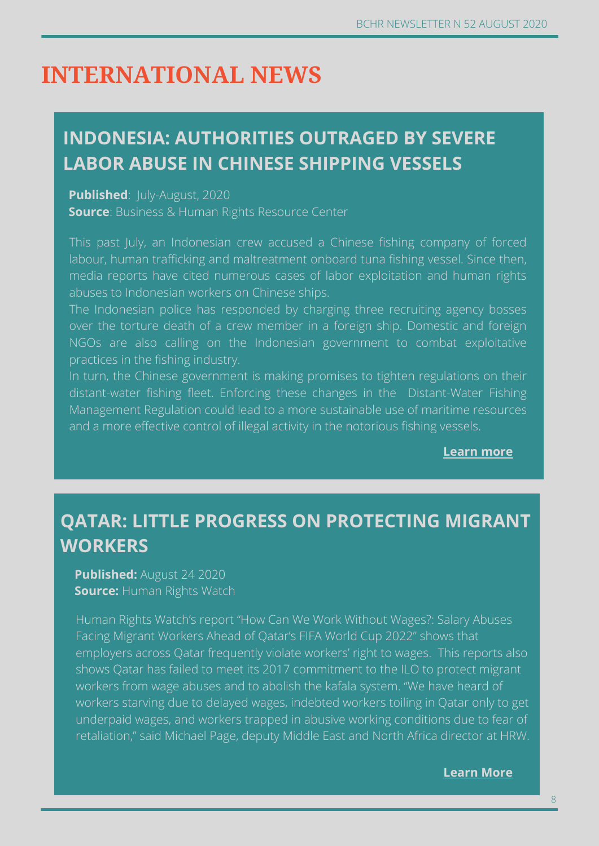# **INTERNATIONAL NEWS**

## **INDONESIA: AUTHORITIES OUTRAGED BY SEVERE LABOR ABUSE IN CHINESE SHIPPING VESSELS**

#### **Published:** July-August, 2020

**Source**: Business & Human Rights Resource Center

This past July, an Indonesian crew accused a Chinese fishing company of forced labour, human trafficking and maltreatment onboard tuna fishing vessel. Since then, media reports have cited numerous cases of labor exploitation and human rights abuses to Indonesian workers on Chinese ships.

The Indonesian police has responded by charging three recruiting agency bosses over the torture death of a crew member in a foreign ship. Domestic and foreign NGOs are also calling on the Indonesian government to combat exploitative practices in the fishing industry.

In turn, the Chinese government is making promises to tighten regulations on their distant-water fishing fleet. Enforcing these changes in the Distant-Water Fishing Management Regulation could lead to a more sustainable use of maritime resources and a more effective control of illegal activity in the notorious fishing vessels.

**Learn more**

## **QATAR: LITTLE PROGRESS ON PROTECTING MIGRANT WORKERS**

**Published:** August 24 2020 **Source: Human Rights Watch** 

Human Rights Watch's report "How Can We Work Without Wages?: Salary Abuses Facing Migrant Workers Ahead of Qatar's FIFA World Cup 2022" shows that employers across Qatar frequently violate workers' right to wages. This reports also shows Qatar has failed to meet its 2017 commitment to the ILO to protect migrant workers from wage abuses and to abolish the kafala system. "We have heard of workers starving due to delayed wages, indebted workers toiling in Qatar only to get underpaid wages, and workers trapped in abusive working conditions due to fear of retaliation," said Michael Page, deputy Middle East and North Africa director at HRW.

**Learn more Learn More**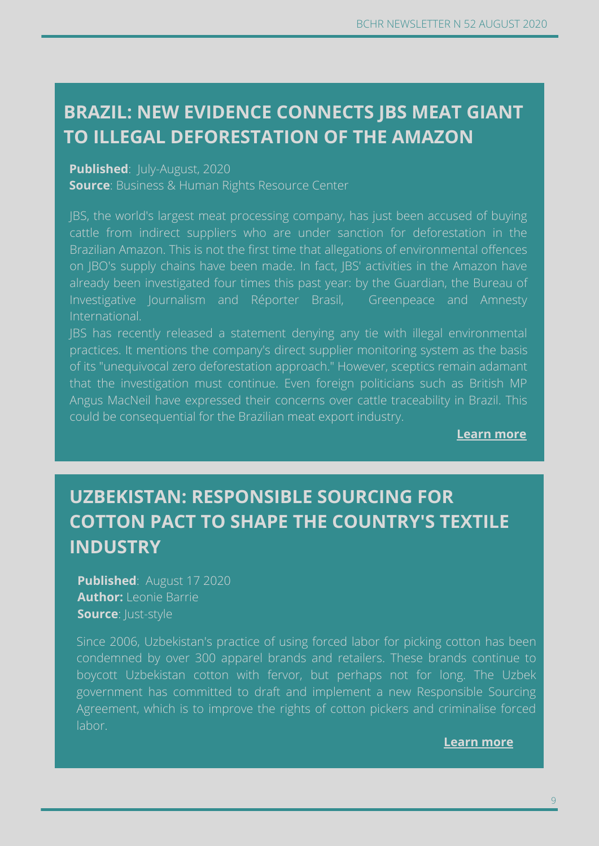# **TO ILLEGAL DEFORESTATION OF THE AMAZON BRAZIL: NEW EVIDENCE CONNECTS JBS MEAT GIANT**

#### **CONCERNS OVER WORKERS' RIGHTS Published**: July-August, 2020

**Source**: Business & Human Rights Resource Center

JBS, the world's largest meat processing company, has just been accused of buying cattle from indirect suppliers who are under sanction for deforestation in the Brazilian Amazon. This is not the first time that allegations of environmental offences on JBO's supply chains have been made. In fact, JBS' activities in the Amazon have already been investigated four times this past year: by the Guardian, the Bureau of Investigative Journalism and Réporter Brasil, Greenpeace and Amnesty International.

JBS has recently released a statement denying any tie with illegal environmental practices. It mentions the company's direct supplier monitoring system as the basis of its "unequivocal zero deforestation approach." However, sceptics remain adamant that the investigation must continue. Even foreign politicians such as British MP Angus MacNeil have expressed their concerns over cattle traceability in Brazil. This could be consequential for the Brazilian meat export industry.

**Learn more**

## **UZBEKISTAN: RESPONSIBLE SOURCING FOR COTTON PACT TO SHAPE THE COUNTRY'S TEXTILE INDUSTRY**

**Published**: August 17 2020 **Author:** Leonie Barrie **Source**: Just-style

Since 2006, Uzbekistan's practice of using forced labor for picking cotton has been condemned by over 300 apparel brands and retailers. These brands continue to boycott Uzbekistan cotton with fervor, but perhaps not for long. The Uzbek government has committed to draft and implement a new Responsible Sourcing Agreement, which is to improve the rights of cotton pickers and criminalise forced labor.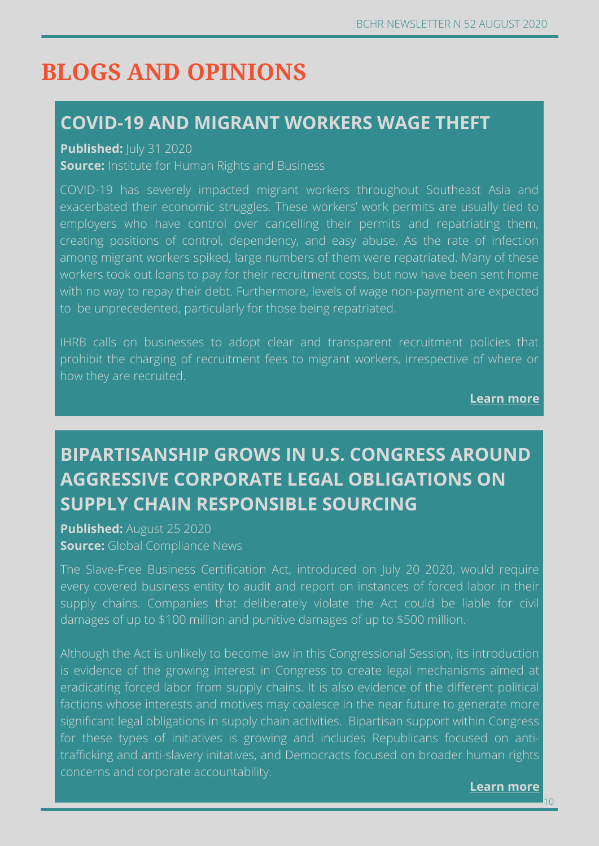# **BLOGS AND OPINIONS**

#### **COVID-19 AND MIGRANT WORKERS WAGE THEFT**

**Published:**  $|U|$  **31 2020** 

**Source:** Institute for Human Rights and Business

COVID-19 has severely impacted migrant workers throughout Southeast Asia and exacerbated their economic struggles. These workers' work permits are usually tied to employers who have control over cancelling their permits and repatriating them, creating positions of control, dependency, and easy abuse. As the rate of infection among migrant workers spiked, large numbers of them were repatriated. Many of these workers took out loans to pay for their recruitment costs, but now have been sent home with no way to repay their debt. Furthermore, levels of wage non-payment are expected to be unprecedented, particularly for those being repatriated.

IHRB calls on businesses to adopt clear and transparent recruitment policies that prohibit the charging of recruitment fees to migrant workers, irrespective of where or how they are recruited.

**Learn more**

# **BIPARTISANSHIP GROWS IN U.S. CONGRESS AROUND AGGRESSIVE CORPORATE LEGAL OBLIGATIONS ON SUPPLY CHAIN RESPONSIBLE SOURCING**

**Published:** August 25 2020 **Source:** Global Compliance News

The Slave-Free Business Certification Act, introduced on July 20 2020, would require every covered business entity to audit and report on instances of forced labor in their supply chains. Companies that deliberately violate the Act could be liable for civil damages of up to \$100 million and punitive damages of up to \$500 million.

Although the Act is unlikely to become law in this Congressional Session, its introduction is evidence of the growing interest in Congress to create legal mechanisms aimed at eradicating forced labor from supply chains. It is also evidence of the different political factions whose interests and motives may coalesce in the near future to generate more significant legal obligations in supply chain activities. Bipartisan support within Congress for these types of initiatives is growing and includes Republicans focused on antitrafficking and anti-slavery initatives, and Democracts focused on broader human rights concerns and corporate accountability.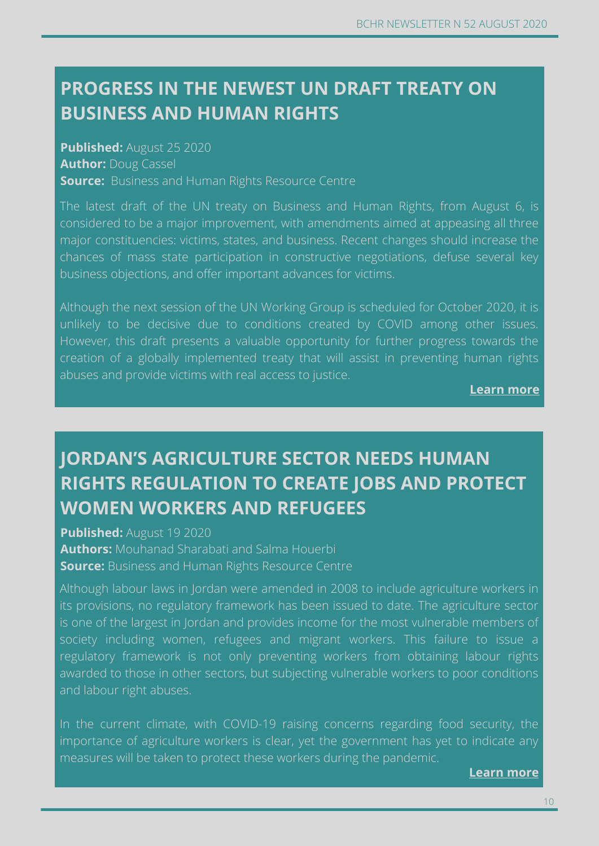## **PROGRESS IN THE NEWEST UN DRAFT TREATY ON BUSINESS AND HUMAN RIGHTS**

**Published:** August 25 2020 **Author:** Doug Cassel **Source:** Business and Human Rights Resource Centre

The latest draft of the UN treaty on Business and Human Rights, from August 6, is considered to be a major improvement, with amendments aimed at appeasing all three major constituencies: victims, states, and business. Recent changes should increase the chances of mass state participation in constructive negotiations, defuse several key business objections, and offer important advances for victims.

Although the next session of the UN Working Group is scheduled for October 2020, it is unlikely to be decisive due to conditions created by COVID among other issues. However, this draft presents a valuable opportunity for further progress towards the creation of a globally implemented treaty that will assist in preventing human rights abuses and provide victims with real access to justice.

**Learn more**

# **JORDAN'S AGRICULTURE SECTOR NEEDS HUMAN RIGHTS REGULATION TO CREATE JOBS AND PROTECT WOMEN WORKERS AND REFUGEES**

**Published:** August 19 2020 **Authors:** Mouhanad Sharabati and Salma Houerbi **Source:** Business and Human Rights Resource Centre

Although labour laws in Jordan were amended in 2008 to include agriculture workers in its provisions, no regulatory framework has been issued to date. The agriculture sector is one of the largest in Jordan and provides income for the most vulnerable members of society including women, refugees and migrant workers. This failure to issue a regulatory framework is not only preventing workers from obtaining labour rights awarded to those in other sectors, but subjecting vulnerable workers to poor conditions and labour right abuses.

In the current climate, with COVID-19 raising concerns regarding food security, the importance of agriculture workers is clear, yet the government has yet to indicate any measures will be taken to protect these workers during the pandemic.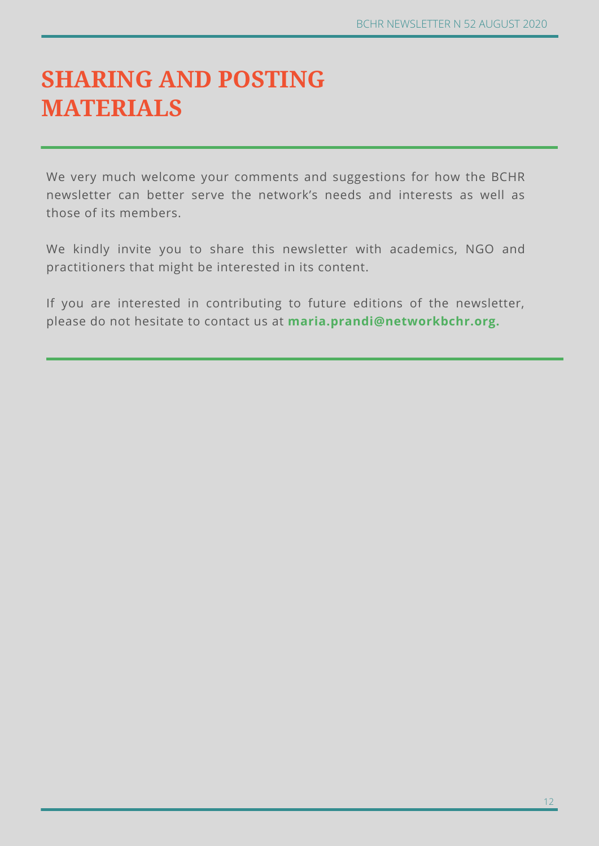# **SHARING AND POSTING MATERIALS**

We very much welcome your comments and suggestions for how the BCHR newsletter can better serve the network's needs and interests as well as those of its members.

We kindly invite you to share this newsletter with academics, NGO and practitioners that might be interested in its content.

If you are interested in contributing to future editions of the newsletter, please do not hesitate to contact us at **maria.prandi@networkbchr.org.**